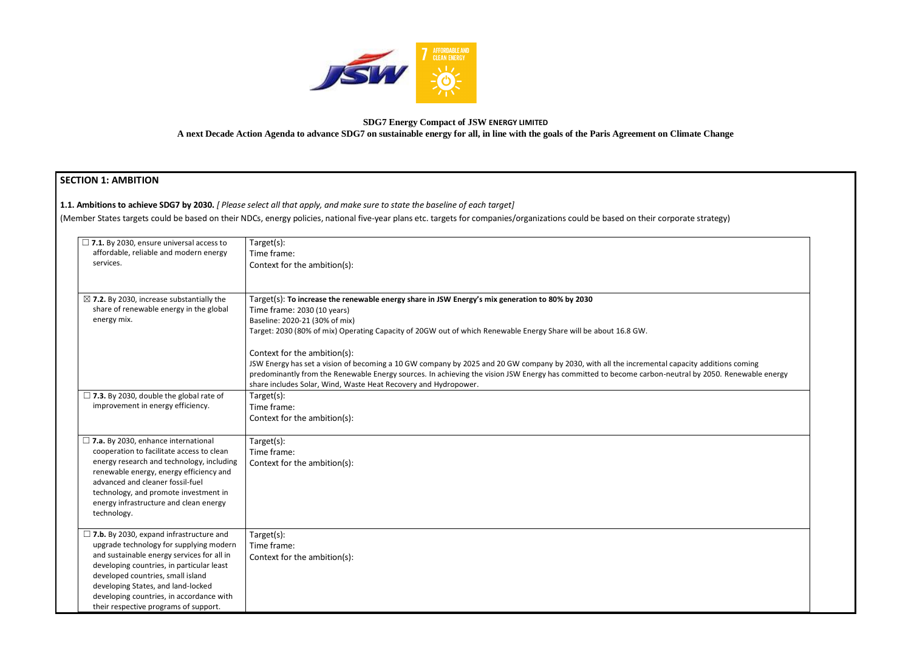

### **SDG7 Energy Compact of JSW ENERGY LIMITED**

**A next Decade Action Agenda to advance SDG7 on sustainable energy for all, in line with the goals of the Paris Agreement on Climate Change**

# SEC

| <b>SECTION 1: AMBITION</b>                                                                                                                                                                                                                                                                                                                           |                                                                                                                                                                                                                                                                                                                                                                                                          |
|------------------------------------------------------------------------------------------------------------------------------------------------------------------------------------------------------------------------------------------------------------------------------------------------------------------------------------------------------|----------------------------------------------------------------------------------------------------------------------------------------------------------------------------------------------------------------------------------------------------------------------------------------------------------------------------------------------------------------------------------------------------------|
|                                                                                                                                                                                                                                                                                                                                                      | 1.1. Ambitions to achieve SDG7 by 2030. [Please select all that apply, and make sure to state the baseline of each target]                                                                                                                                                                                                                                                                               |
|                                                                                                                                                                                                                                                                                                                                                      | (Member States targets could be based on their NDCs, energy policies, national five-year plans etc. targets for companies/organizations could be based on their corporate strategy)                                                                                                                                                                                                                      |
| $\Box$ 7.1. By 2030, ensure universal access to<br>affordable, reliable and modern energy<br>services.                                                                                                                                                                                                                                               | Target(s):<br>Time frame:<br>Context for the ambition(s):                                                                                                                                                                                                                                                                                                                                                |
| $\boxtimes$ 7.2. By 2030, increase substantially the<br>share of renewable energy in the global<br>energy mix.                                                                                                                                                                                                                                       | Target(s): To increase the renewable energy share in JSW Energy's mix generation to 80% by 2030<br>Time frame: 2030 (10 years)<br>Baseline: 2020-21 (30% of mix)<br>Target: 2030 (80% of mix) Operating Capacity of 20GW out of which Renewable Energy Share will be about 16.8 GW.                                                                                                                      |
|                                                                                                                                                                                                                                                                                                                                                      | Context for the ambition(s):<br>JSW Energy has set a vision of becoming a 10 GW company by 2025 and 20 GW company by 2030, with all the incremental capacity additions coming<br>predominantly from the Renewable Energy sources. In achieving the vision JSW Energy has committed to become carbon-neutral by 2050. Renewable energy<br>share includes Solar, Wind, Waste Heat Recovery and Hydropower. |
| $\Box$ 7.3. By 2030, double the global rate of<br>improvement in energy efficiency.                                                                                                                                                                                                                                                                  | Target(s):<br>Time frame:<br>Context for the ambition(s):                                                                                                                                                                                                                                                                                                                                                |
| $\Box$ 7.a. By 2030, enhance international<br>cooperation to facilitate access to clean<br>energy research and technology, including<br>renewable energy, energy efficiency and<br>advanced and cleaner fossil-fuel<br>technology, and promote investment in<br>energy infrastructure and clean energy<br>technology.                                | Target(s):<br>Time frame:<br>Context for the ambition(s):                                                                                                                                                                                                                                                                                                                                                |
| $\Box$ 7.b. By 2030, expand infrastructure and<br>upgrade technology for supplying modern<br>and sustainable energy services for all in<br>developing countries, in particular least<br>developed countries, small island<br>developing States, and land-locked<br>developing countries, in accordance with<br>their respective programs of support. | Target(s):<br>Time frame:<br>Context for the ambition(s):                                                                                                                                                                                                                                                                                                                                                |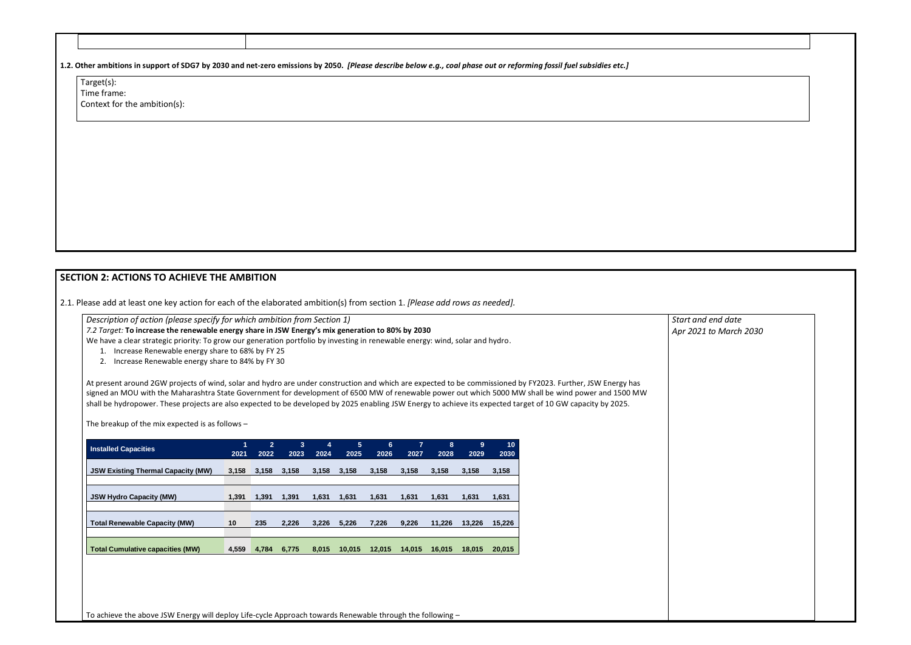**1.2. Other ambitions in support of SDG7 by 2030 and net-zero emissions by 2050.** *[Please describe below e.g., coal phase out or reforming fossil fuel subsidies etc.]*

Target(s): Time frame:

Context for the ambition(s):

**SECTION 2: ACTIONS TO ACHIEVE THE AMBITION** 

2.1. Please add at least one key action for each of the elaborated ambition(s) from section 1. *[Please add rows as needed].*

*Description of action (please specify for which ambition from Section 1)* 

*7.2 Target:* **To increase the renewable energy share in JSW Energy's mix generation to 80% by 2030**

We have a clear strategic priority: To grow our generation portfolio by investing in renewable energy: wind, solar and hydro.

- 1. Increase Renewable energy share to 68% by FY 25
- 2. Increase Renewable energy share to 84% by FY 30

At present around 2GW projects of wind, solar and hydro are under construction and which are expected to be commissioned by FY2023. Further, JSW Energy has signed an MOU with the Maharashtra State Government for development of 6500 MW of renewable power out which 5000 MW shall be wind power and 1500 MW shall be hydropower. These projects are also expected to be developed by 2025 enabling JSW Energy to achieve its expected target of 10 GW capacity by 2025.

The breakup of the mix expected is as follows –

| <b>Installed Capacities</b>               | 1<br>2021 | $2^{\circ}$<br>2022 | $\bf{3}$<br>2023 | 4<br>2024 | 5 <sup>5</sup><br>2025 | 6<br>2026 | $\overline{7}$<br>2027 | 8<br>2028 | 9<br>2029 | 10<br>2030 |
|-------------------------------------------|-----------|---------------------|------------------|-----------|------------------------|-----------|------------------------|-----------|-----------|------------|
| <b>JSW Existing Thermal Capacity (MW)</b> | 3,158     | 3,158               | 3,158            | 3,158     | 3,158                  | 3,158     | 3,158                  | 3,158     | 3,158     | 3,158      |
|                                           |           |                     |                  |           |                        |           |                        |           |           |            |
| <b>JSW Hydro Capacity (MW)</b>            | 1,391     | 1,391               | 1,391            | 1,631     | 1,631                  | 1,631     | 1,631                  | 1,631     | 1,631     | 1,631      |
| <b>Total Renewable Capacity (MW)</b>      | 10        | 235                 | 2,226            | 3,226     | 5,226                  | 7,226     | 9.226                  | 11.226    | 13,226    | 15,226     |
|                                           |           |                     |                  |           |                        |           |                        |           |           |            |
| <b>Total Cumulative capacities (MW)</b>   | 4,559     | 4.784               | 6.775            | 8.015     | 10.015                 | 12.015    | 14.015                 | 16.015    | 18.015    | 20,015     |

To achieve the above JSW Energy will deploy Life-cycle Approach towards Renewable through the following –

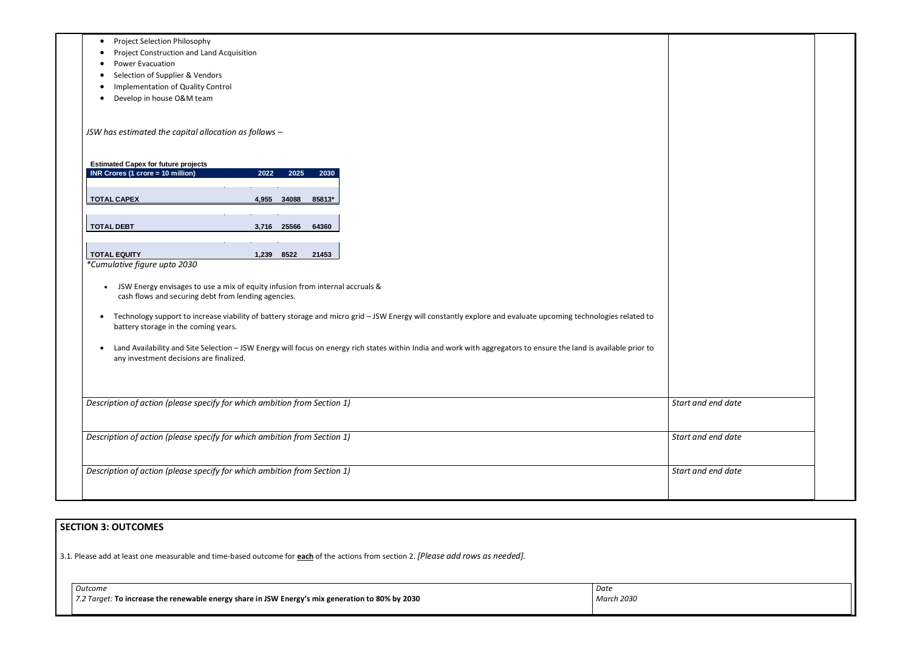| Project Selection Philosophy<br>$\bullet$<br>Project Construction and Land Acquisition                                                                                                                             |                    |
|--------------------------------------------------------------------------------------------------------------------------------------------------------------------------------------------------------------------|--------------------|
|                                                                                                                                                                                                                    |                    |
|                                                                                                                                                                                                                    |                    |
| <b>Power Evacuation</b>                                                                                                                                                                                            |                    |
| Selection of Supplier & Vendors                                                                                                                                                                                    |                    |
| Implementation of Quality Control                                                                                                                                                                                  |                    |
| Develop in house O&M team                                                                                                                                                                                          |                    |
|                                                                                                                                                                                                                    |                    |
|                                                                                                                                                                                                                    |                    |
| JSW has estimated the capital allocation as follows -                                                                                                                                                              |                    |
|                                                                                                                                                                                                                    |                    |
| <b>Estimated Capex for future projects</b><br><b>INR Crores (1 crore = 10 million)</b><br>2022<br>2025<br>2030                                                                                                     |                    |
|                                                                                                                                                                                                                    |                    |
| <b>TOTAL CAPEX</b><br>4,955 34088<br>85813*                                                                                                                                                                        |                    |
|                                                                                                                                                                                                                    |                    |
| <b>TOTAL DEBT</b><br>3,716 25566<br>64360                                                                                                                                                                          |                    |
|                                                                                                                                                                                                                    |                    |
| <b>TOTAL EQUITY</b><br>8522<br>21453<br>1,239                                                                                                                                                                      |                    |
| *Cumulative figure upto 2030                                                                                                                                                                                       |                    |
|                                                                                                                                                                                                                    |                    |
| JSW Energy envisages to use a mix of equity infusion from internal accruals &<br>$\bullet$                                                                                                                         |                    |
| cash flows and securing debt from lending agencies.                                                                                                                                                                |                    |
|                                                                                                                                                                                                                    |                    |
| Technology support to increase viability of battery storage and micro grid - JSW Energy will constantly explore and evaluate upcoming technologies related to<br>$\bullet$<br>battery storage in the coming years. |                    |
|                                                                                                                                                                                                                    |                    |
| Land Availability and Site Selection - JSW Energy will focus on energy rich states within India and work with aggregators to ensure the land is available prior to                                                 |                    |
| any investment decisions are finalized.                                                                                                                                                                            |                    |
|                                                                                                                                                                                                                    |                    |
|                                                                                                                                                                                                                    |                    |
|                                                                                                                                                                                                                    |                    |
| Description of action (please specify for which ambition from Section 1)                                                                                                                                           | Start and end date |
|                                                                                                                                                                                                                    |                    |
|                                                                                                                                                                                                                    | Start and end date |
|                                                                                                                                                                                                                    |                    |
| Description of action (please specify for which ambition from Section 1)                                                                                                                                           |                    |
|                                                                                                                                                                                                                    |                    |
|                                                                                                                                                                                                                    | Start and end date |
| Description of action (please specify for which ambition from Section 1)                                                                                                                                           |                    |

## **SECTION 3: OUTCOMES**

3.1*.* Please add at least one measurable and time-based outcome for **each** of the actions from section 2. *[Please add rows as needed].*

| Outcome                                                                                                 | Date       |
|---------------------------------------------------------------------------------------------------------|------------|
| $\mid$ 7.2 Target: To increase the renewable energy share in JSW Energy's mix generation to 80% by 2030 | March 2030 |
|                                                                                                         |            |

| and end date |  |
|--------------|--|
|              |  |
|              |  |
|              |  |
| and end date |  |
|              |  |
|              |  |
| and end date |  |
|              |  |
|              |  |
|              |  |
|              |  |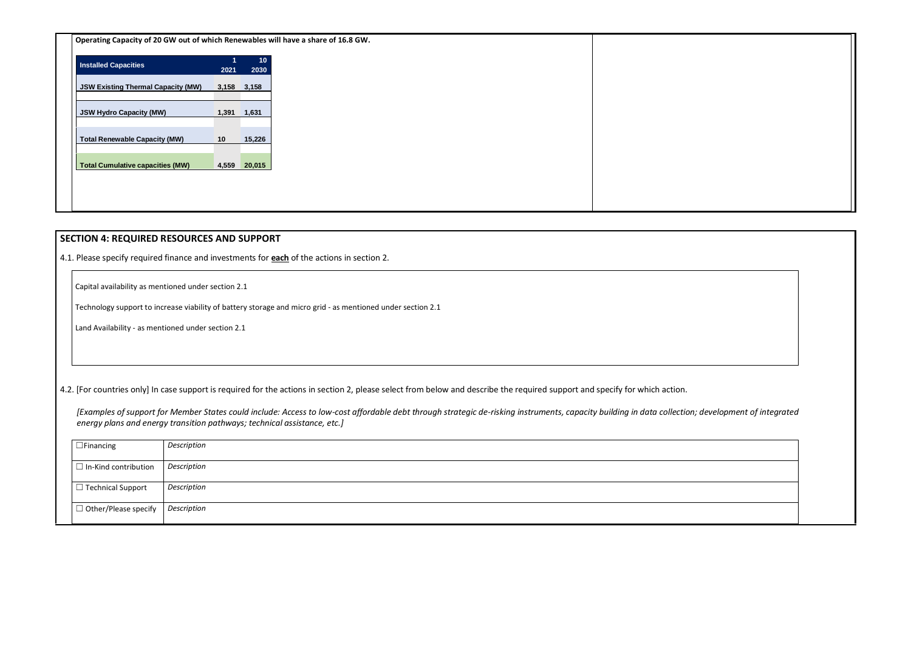**Operating Capacity of 20 GW out of which Renewables will have a share of 16.8 GW.**

| <b>Installed Capacities</b>               | 1<br>2021 | 10<br>2030  |
|-------------------------------------------|-----------|-------------|
| <b>JSW Existing Thermal Capacity (MW)</b> |           | 3,158 3,158 |
| <b>JSW Hydro Capacity (MW)</b>            | 1,391     | 1,631       |
| <b>Total Renewable Capacity (MW)</b>      | 10        | 15,226      |
| <b>Total Cumulative capacities (MW)</b>   | 4,559     | 20,015      |

### **SECTION 4: REQUIRED RESOURCES AND SUPPORT**

4.1. Please specify required finance and investments for **each** of the actions in section 2.

Capital availability as mentioned under section 2.1

Technology support to increase viability of battery storage and micro grid - as mentioned under section 2.1

Land Availability - as mentioned under section 2.1

4.2. [For countries only] In case support is required for the actions in section 2, please select from below and describe the required support and specify for which action.

*[Examples of support for Member States could include: Access to low-cost affordable debt through strategic de-risking instruments, capacity building in data collection; development of integrated energy plans and energy transition pathways; technical assistance, etc.]*

| $\Box$ Financing            | Description |
|-----------------------------|-------------|
| $\Box$ In-Kind contribution | Description |
| $\Box$ Technical Support    | Description |
| $\Box$ Other/Please specify | Description |

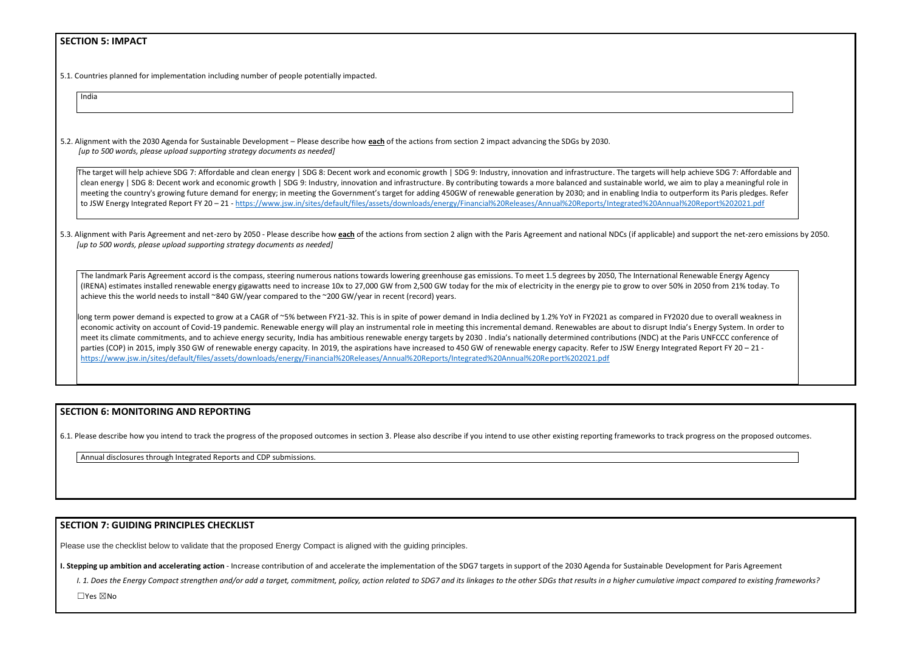#### **SECTION 5: IMPACT**

5.1. Countries planned for implementation including number of people potentially impacted.

India

5.2. Alignment with the 2030 Agenda for Sustainable Development – Please describe how **each** of the actions from section 2 impact advancing the SDGs by 2030. *[up to 500 words, please upload supporting strategy documents as needed]* 

The target will help achieve SDG 7: Affordable and clean energy | SDG 8: Decent work and economic growth | SDG 9: Industry, innovation and infrastructure. The targets will help clean energy | SDG 8: Decent work and economic growth | SDG 9: Industry, innovation and infrastructure. By contributing towards a more balanced and sustainable world, we aim meeting the country's growing future demand for energy; in meeting the Government's target for adding 450GW of renewable generation by 2030; and in enabling India to outperform in the superform in the Soutperform in the So to JSW Energy Integrated Report FY 20 – 21 - https://www.jsw.in/sites/default/files/assets/downloads/energy/Financial%20Releases/Annual%20Reports/Integrated%20Annual%

5.3. Alignment with Paris Agreement and net-zero by 2050 - Please describe how each of the actions from section 2 align with the Paris Agreement and national NDCs (if applicable) and *[up to 500 words, please upload supporting strategy documents as needed]* 

The landmark Paris Agreement accord is the compass, steering numerous nations towards lowering greenhouse gas emissions. To meet 1.5 degrees by 2050, The International Re (IRENA) estimates installed renewable energy gigawatts need to increase 10x to 27,000 GW from 2,500 GW today for the mix of electricity in the energy pie to grow to over 50% achieve this the world needs to install ~840 GW/year compared to the ~200 GW/year in recent (record) years.

Iong term power demand is expected to grow at a CAGR of ~5% between FY21-32. This is in spite of power demand in India declined by 1.2% YoY in FY2021 as compared in FY2020 economic activity on account of Covid-19 pandemic. Renewable energy will play an instrumental role in meeting this incremental demand. Renewables are about to disrupt India' meet its climate commitments, and to achieve [energy security,](https://energy.economictimes.indiatimes.com/tag/energy+security) India has ambitious [renewable](https://energy.economictimes.indiatimes.com/news/renewable) energy targets by 2030 . India's nationally determined contributions (NDC) at the P parties (COP) in 2015, imply 350 GW of [renewable energy](https://energy.economictimes.indiatimes.com/tag/renewable+energy) capacity. In 2019, the aspirations have increased to 450 GW of renewable energy capacity. Refer to JSW Energy Integrations <https://www.jsw.in/sites/default/files/assets/downloads/energy/Financial%20Releases/Annual%20Reports/Integrated%20Annual%20Report%202021.pdf>

#### **SECTION 6: MONITORING AND REPORTING**

6.1. Please describe how you intend to track the progress of the proposed outcomes in section 3. Please also describe if you intend to use other existing reporting frameworks to track progress on the proposed outcomes.

Annual disclosures through Integrated Reports and CDP submissions.

#### **SECTION 7: GUIDING PRINCIPLES CHECKLIST**

Please use the checklist below to validate that the proposed Energy Compact is aligned with the guiding principles.

**I. Stepping up ambition and accelerating action** - Increase contribution of and accelerate the implementation of the SDG7 targets in support of the 2030 Agenda for Sustainable Development for Paris Agreement

I. 1. Does the Energy Compact strengthen and/or add a target, commitment, policy, action related to SDG7 and its linkages to the other SDGs that results in a higher cumulative impact compared to existing frameworks?

☐Yes ☒No

| achieve SDG 7: Affordable and<br>m to play a meaningful role in<br>erform its Paris pledges. Refer<br>20Report%202021.pdf |  |
|---------------------------------------------------------------------------------------------------------------------------|--|
| d support the net-zero emissions by 2050.                                                                                 |  |
| enewable Energy Agency<br>n 2050 from 21% today. To                                                                       |  |
| I due to overall weakness in<br>'s Energy System. In order to<br>aris UNFCCC conference of<br>ted Report FY $20 - 21 -$   |  |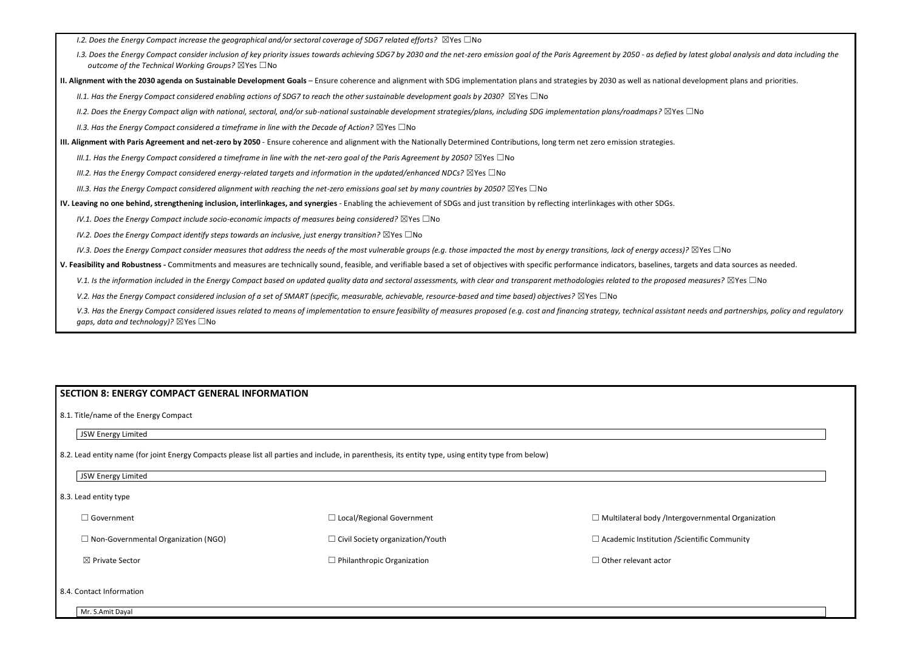ets and data sources as needed. *V.1. Is the information included in the Energy Compact based on updated quality data and sectoral assessments, with clear and transparent methodologies related to the proposed measures?* ☒Yes ☐No

needs and partnerships, policy and regulatory

| 1.2. Does the Energy Compact increase the geographical and/or sectoral coverage of SDG7 related efforts? $\boxtimes$ Yes $\Box$ No                                                                                                                                    |
|-----------------------------------------------------------------------------------------------------------------------------------------------------------------------------------------------------------------------------------------------------------------------|
| I.3. Does the Energy Compact consider inclusion of key priority issues towards achieving SDG7 by 2030 and the net-zero emission goal of the Paris Agreement by 2050 - as defied by latest globa<br>outcome of the Technical Working Groups? $\boxtimes$ Yes $\Box$ No |
| II. Alignment with the 2030 agenda on Sustainable Development Goals - Ensure coherence and alignment with SDG implementation plans and strategies by 2030 as well as national development                                                                             |
| II.1. Has the Energy Compact considered enabling actions of SDG7 to reach the other sustainable development goals by 2030? $\boxtimes$ Yes $\Box$ No                                                                                                                  |
| II.2. Does the Energy Compact align with national, sectoral, and/or sub-national sustainable development strategies/plans, including SDG implementation plans/roadmaps? $\boxtimes$ Yes $\Box$ No                                                                     |
| II.3. Has the Energy Compact considered a timeframe in line with the Decade of Action? $\boxtimes$ Yes $\Box$ No                                                                                                                                                      |
| III. Alignment with Paris Agreement and net-zero by 2050 - Ensure coherence and alignment with the Nationally Determined Contributions, long term net zero emission strategies.                                                                                       |
| III.1. Has the Energy Compact considered a timeframe in line with the net-zero goal of the Paris Agreement by 2050? $\boxtimes$ Yes $\Box$ No                                                                                                                         |
| III.2. Has the Energy Compact considered energy-related targets and information in the updated/enhanced NDCs? $\boxtimes$ Yes $\Box$ No                                                                                                                               |
| III.3. Has the Energy Compact considered alignment with reaching the net-zero emissions goal set by many countries by 2050? $\boxtimes$ Yes $\Box$ No                                                                                                                 |
| IV. Leaving no one behind, strengthening inclusion, interlinkages, and synergies - Enabling the achievement of SDGs and just transition by reflecting interlinkages with other SDGs.                                                                                  |
| IV.1. Does the Energy Compact include socio-economic impacts of measures being considered? $\boxtimes$ Yes $\Box$ No                                                                                                                                                  |
| IV.2. Does the Energy Compact identify steps towards an inclusive, just energy transition? $\boxtimes$ Yes $\Box$ No                                                                                                                                                  |
| IV.3. Does the Energy Compact consider measures that address the needs of the most vulnerable groups (e.g. those impacted the most by energy transitions, lack of energy access)? $\boxtimes$ Yes $\Box$ No                                                           |
| V. Feasibility and Robustness - Commitments and measures are technically sound, feasible, and verifiable based a set of objectives with specific performance indicators, baselines, targets and data                                                                  |
| V.1. Is the information included in the Energy Compact based on updated quality data and sectoral assessments, with clear and transparent methodologies related to the proposed measures? [2]                                                                         |
| V.2. Has the Energy Compact considered inclusion of a set of SMART (specific, measurable, achievable, resource-based and time based) objectives? $\boxtimes$ Yes $\Box$ No                                                                                            |
| V.3. Has the Energy Compact considered issues related to means of implementation to ensure feasibility of measures proposed (e.g. cost and financing strategy, technical assistant needs and po<br>gaps, data and technology)? $\boxtimes$ Yes $\Box$ No              |

|  | JSW Energy Limited |
|--|--------------------|
|  |                    |

| JSW Energy Limited |
|--------------------|
|--------------------|

| <b>SECTION 8: ENERGY COMPACT GENERAL INFORMATION</b> |                                                                                                                                                      |                                                          |
|------------------------------------------------------|------------------------------------------------------------------------------------------------------------------------------------------------------|----------------------------------------------------------|
| 8.1. Title/name of the Energy Compact                |                                                                                                                                                      |                                                          |
| JSW Energy Limited                                   |                                                                                                                                                      |                                                          |
|                                                      | 8.2. Lead entity name (for joint Energy Compacts please list all parties and include, in parenthesis, its entity type, using entity type from below) |                                                          |
| JSW Energy Limited                                   |                                                                                                                                                      |                                                          |
| 8.3. Lead entity type                                |                                                                                                                                                      |                                                          |
| $\Box$ Government                                    | $\Box$ Local/Regional Government                                                                                                                     | $\Box$ Multilateral body /Intergovernmental Organization |
| $\Box$ Non-Governmental Organization (NGO)           | $\Box$ Civil Society organization/Youth                                                                                                              | $\Box$ Academic Institution / Scientific Community       |
| ⊠ Private Sector                                     | $\Box$ Philanthropic Organization                                                                                                                    | $\Box$ Other relevant actor                              |
| 8.4. Contact Information                             |                                                                                                                                                      |                                                          |
| Mr. S.Amit Dayal                                     |                                                                                                                                                      |                                                          |

 $\alpha$  latest global analysis and data including the

evelopment plans and priorities.